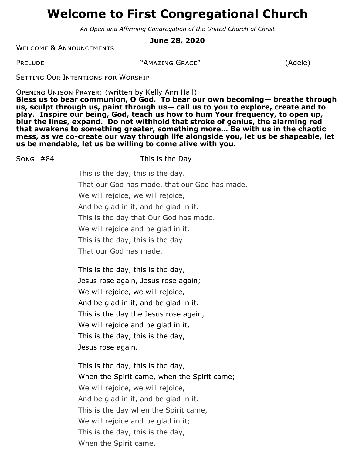# **Welcome to First Congregational Church**

*An Open and Affirming Congregation of the United Church of Christ*

**June 28, 2020**

Welcome & Announcements

PRELUDE "AMAZING GRACE" (Adele)

Setting Our Intentions for Worship

Opening Unison Prayer: (written by Kelly Ann Hall)

Song: #84 This is the Day

**Bless us to bear communion, O God. To bear our own becoming— breathe through us, sculpt through us, paint through us— call us to you to explore, create and to play. Inspire our being, God, teach us how to hum Your frequency, to open up, blur the lines, expand. Do not withhold that stroke of genius, the alarming red that awakens to something greater, something more… Be with us in the chaotic mess, as we co-create our way through life alongside you, let us be shapeable, let us be mendable, let us be willing to come alive with you.**

> This is the day, this is the day. That our God has made, that our God has made. We will rejoice, we will rejoice, And be glad in it, and be glad in it. This is the day that Our God has made. We will rejoice and be glad in it. This is the day, this is the day That our God has made.

This is the day, this is the day, Jesus rose again, Jesus rose again; We will rejoice, we will rejoice, And be glad in it, and be glad in it. This is the day the Jesus rose again, We will rejoice and be glad in it, This is the day, this is the day, Jesus rose again.

This is the day, this is the day, When the Spirit came, when the Spirit came; We will rejoice, we will rejoice, And be glad in it, and be glad in it. This is the day when the Spirit came, We will rejoice and be glad in it; This is the day, this is the day, When the Spirit came.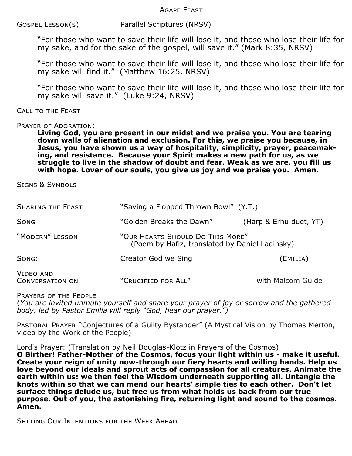Agape Feast

Gospel Lesson(s) Parallel Scriptures (NRSV)

"For those who want to save their life will lose it, and those who lose their life for my sake, and for the sake of the gospel, will save it." (Mark 8:35, NRSV)

"For those who want to save their life will lose it, and those who lose their life for my sake will find it." (Matthew 16:25, NRSV)

"For those who want to save their life will lose it, and those who lose their life for my sake will save it." (Luke 9:24, NRSV)

#### Call to the Feast

#### PRAYER OF ADORATION:

**Living God, you are present in our midst and we praise you. You are tearing down walls of alienation and exclusion. For this, we praise you because, in**  Jesus, you have shown us a way of hospitality, simplicity, prayer, peacemak**ing, and resistance. Because your Spirit makes a new path for us, as we struggle to live in the shadow of doubt and fear. Weak as we are, you fill us with hope. Lover of our souls, you give us joy and we praise you. Amen.**

Signs & Symbols

| <b>SHARING THE FEAST</b>            | "Saving a Flopped Thrown Bowl" (Y.T.)                                              |                        |
|-------------------------------------|------------------------------------------------------------------------------------|------------------------|
| <b>SONG</b>                         | "Golden Breaks the Dawn"                                                           | (Harp & Erhu duet, YT) |
| "MODERN" LESSON                     | "OUR HEARTS SHOULD DO THIS MORE"<br>(Poem by Hafiz, translated by Daniel Ladinsky) |                        |
| SONG:                               | Creator God we Sing                                                                | (Emilia)               |
| VIDEO AND<br><b>CONVERSATION ON</b> | "CRUCIFIED FOR ALL"                                                                | with Malcom Guide      |

Prayers of the People

(*You are invited unmute yourself and share your prayer of joy or sorrow and the gathered body, led by Pastor Emilia will reply "God, hear our prayer.")*

PASTORAL PRAYER "Conjectures of a Guilty Bystander" (A Mystical Vision by Thomas Merton, video by the Work of the People)

Lord's Prayer: (Translation by Neil Douglas-Klotz in Prayers of the Cosmos)

**O Birther! Father-Mother of the Cosmos, focus your light within us - make it useful. Create your reign of unity now-through our fiery hearts and willing hands. Help us love beyond our ideals and sprout acts of compassion for all creatures. Animate the earth within us: we then feel the Wisdom underneath supporting all. Untangle the knots within so that we can mend our hearts' simple ties to each other. Don't let surface things delude us, but free us from what holds us back from our true purpose. Out of you, the astonishing fire, returning light and sound to the cosmos. Amen.**

Setting Our Intentions for the Week Ahead